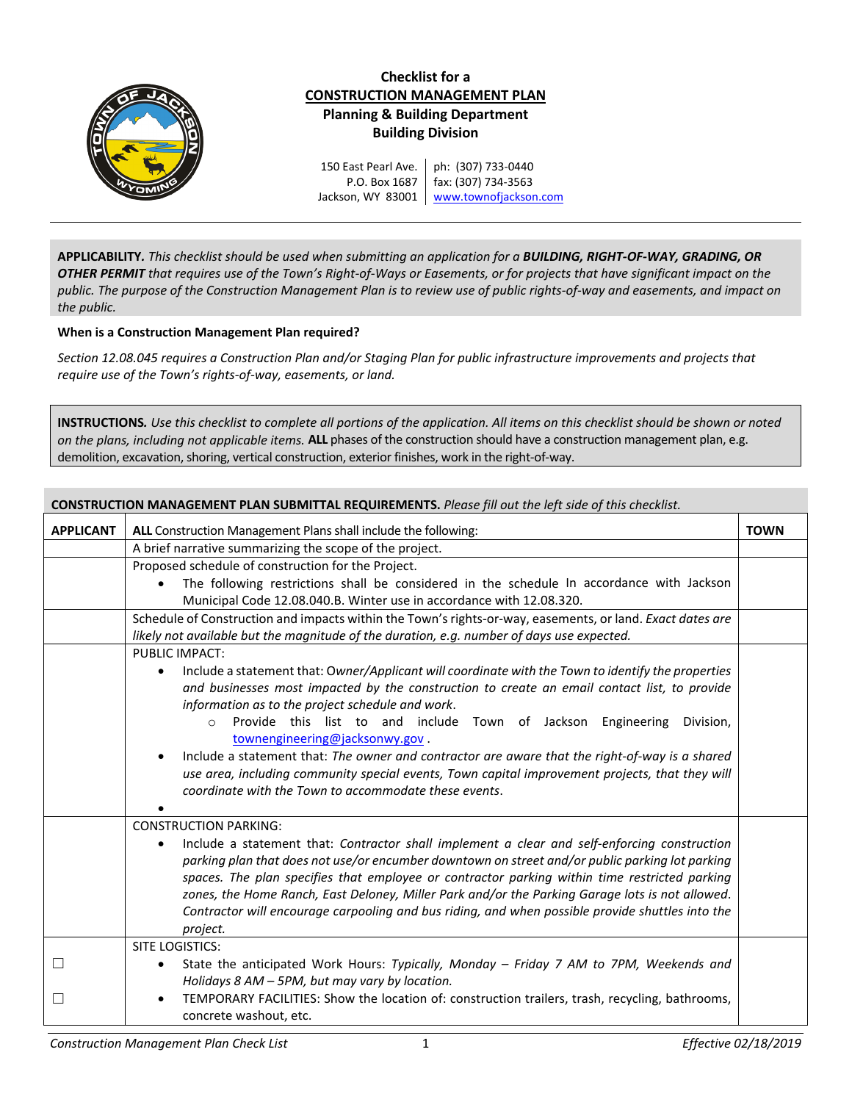

**APPLICABILITY***. This checklist should be used when submitting an application for a BUILDING, RIGHT-OF-WAY, GRADING, OR OTHER PERMIT that requires use of the Town's Right-of-Ways or Easements, or for projects that have significant impact on the public. The purpose of the Construction Management Plan is to review use of public rights-of-way and easements, and impact on the public.*

## **When is a Construction Management Plan required?**

*Section 12.08.045 requires a Construction Plan and/or Staging Plan for public infrastructure improvements and projects that require use of the Town's rights-of-way, easements, or land.*

**INSTRUCTIONS***. Use this checklist to complete all portions of the application. All items on this checklist should be shown or noted on the plans, including not applicable items.* **ALL** phases of the construction should have a construction management plan, e.g. demolition, excavation, shoring, vertical construction, exterior finishes, work in the right-of-way.

| <b>CONSTRUCTION MANAGEMENT PLAN SUBMITTAL REQUIREMENTS.</b> Please fill out the left side of this checklist. |                                                                                                                                                                                                                |             |  |  |  |
|--------------------------------------------------------------------------------------------------------------|----------------------------------------------------------------------------------------------------------------------------------------------------------------------------------------------------------------|-------------|--|--|--|
| <b>APPLICANT</b>                                                                                             | ALL Construction Management Plans shall include the following:                                                                                                                                                 | <b>TOWN</b> |  |  |  |
|                                                                                                              | A brief narrative summarizing the scope of the project.                                                                                                                                                        |             |  |  |  |
|                                                                                                              | Proposed schedule of construction for the Project.                                                                                                                                                             |             |  |  |  |
|                                                                                                              | The following restrictions shall be considered in the schedule In accordance with Jackson                                                                                                                      |             |  |  |  |
|                                                                                                              | Municipal Code 12.08.040.B. Winter use in accordance with 12.08.320.                                                                                                                                           |             |  |  |  |
|                                                                                                              | Schedule of Construction and impacts within the Town's rights-or-way, easements, or land. Exact dates are                                                                                                      |             |  |  |  |
|                                                                                                              | likely not available but the magnitude of the duration, e.g. number of days use expected.                                                                                                                      |             |  |  |  |
|                                                                                                              | <b>PUBLIC IMPACT:</b>                                                                                                                                                                                          |             |  |  |  |
|                                                                                                              | Include a statement that: Owner/Applicant will coordinate with the Town to identify the properties<br>$\bullet$                                                                                                |             |  |  |  |
|                                                                                                              | and businesses most impacted by the construction to create an email contact list, to provide                                                                                                                   |             |  |  |  |
|                                                                                                              | information as to the project schedule and work.                                                                                                                                                               |             |  |  |  |
|                                                                                                              | Provide this list to and include Town of Jackson Engineering<br>Division,<br>$\circ$                                                                                                                           |             |  |  |  |
|                                                                                                              | townengineering@jacksonwy.gov.                                                                                                                                                                                 |             |  |  |  |
|                                                                                                              | Include a statement that: The owner and contractor are aware that the right-of-way is a shared<br>$\bullet$<br>use area, including community special events, Town capital improvement projects, that they will |             |  |  |  |
|                                                                                                              | coordinate with the Town to accommodate these events.                                                                                                                                                          |             |  |  |  |
|                                                                                                              |                                                                                                                                                                                                                |             |  |  |  |
|                                                                                                              | <b>CONSTRUCTION PARKING:</b>                                                                                                                                                                                   |             |  |  |  |
|                                                                                                              | Include a statement that: Contractor shall implement a clear and self-enforcing construction<br>$\bullet$                                                                                                      |             |  |  |  |
|                                                                                                              | parking plan that does not use/or encumber downtown on street and/or public parking lot parking                                                                                                                |             |  |  |  |
|                                                                                                              | spaces. The plan specifies that employee or contractor parking within time restricted parking                                                                                                                  |             |  |  |  |
|                                                                                                              | zones, the Home Ranch, East Deloney, Miller Park and/or the Parking Garage lots is not allowed.                                                                                                                |             |  |  |  |
|                                                                                                              | Contractor will encourage carpooling and bus riding, and when possible provide shuttles into the                                                                                                               |             |  |  |  |
|                                                                                                              | project.                                                                                                                                                                                                       |             |  |  |  |
|                                                                                                              | SITE LOGISTICS:                                                                                                                                                                                                |             |  |  |  |
| $\Box$                                                                                                       | State the anticipated Work Hours: Typically, Monday - Friday 7 AM to 7PM, Weekends and<br>$\bullet$                                                                                                            |             |  |  |  |
|                                                                                                              | Holidays 8 AM - 5PM, but may vary by location.                                                                                                                                                                 |             |  |  |  |
| $\Box$                                                                                                       | TEMPORARY FACILITIES: Show the location of: construction trailers, trash, recycling, bathrooms,<br>$\bullet$                                                                                                   |             |  |  |  |
|                                                                                                              | concrete washout, etc.                                                                                                                                                                                         |             |  |  |  |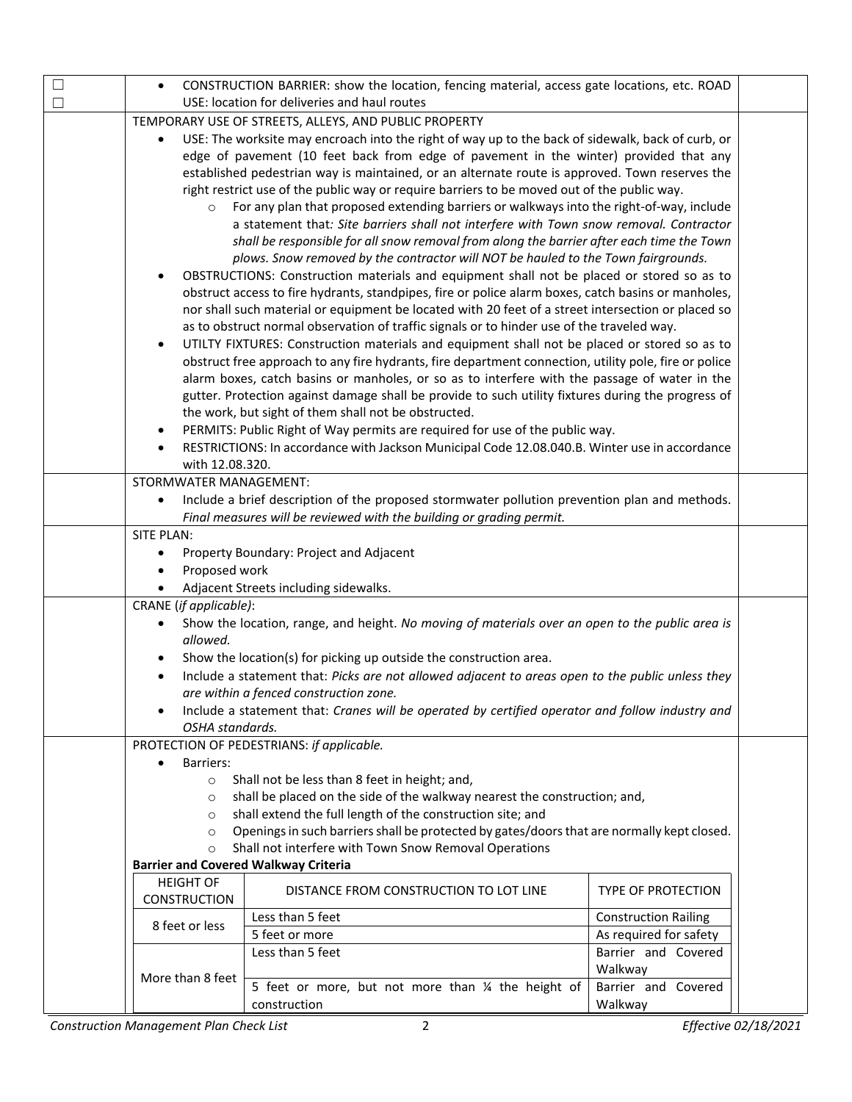| □ | CONSTRUCTION BARRIER: show the location, fencing material, access gate locations, etc. ROAD<br>$\bullet$  |                                                                                                  |                             |  |  |  |
|---|-----------------------------------------------------------------------------------------------------------|--------------------------------------------------------------------------------------------------|-----------------------------|--|--|--|
| П | USE: location for deliveries and haul routes                                                              |                                                                                                  |                             |  |  |  |
|   | TEMPORARY USE OF STREETS, ALLEYS, AND PUBLIC PROPERTY                                                     |                                                                                                  |                             |  |  |  |
|   | USE: The worksite may encroach into the right of way up to the back of sidewalk, back of curb, or         |                                                                                                  |                             |  |  |  |
|   | edge of pavement (10 feet back from edge of pavement in the winter) provided that any                     |                                                                                                  |                             |  |  |  |
|   | established pedestrian way is maintained, or an alternate route is approved. Town reserves the            |                                                                                                  |                             |  |  |  |
|   | right restrict use of the public way or require barriers to be moved out of the public way.               |                                                                                                  |                             |  |  |  |
|   | For any plan that proposed extending barriers or walkways into the right-of-way, include<br>$\circ$       |                                                                                                  |                             |  |  |  |
|   |                                                                                                           | a statement that: Site barriers shall not interfere with Town snow removal. Contractor           |                             |  |  |  |
|   |                                                                                                           |                                                                                                  |                             |  |  |  |
|   | shall be responsible for all snow removal from along the barrier after each time the Town                 |                                                                                                  |                             |  |  |  |
|   | plows. Snow removed by the contractor will NOT be hauled to the Town fairgrounds.                         |                                                                                                  |                             |  |  |  |
|   | OBSTRUCTIONS: Construction materials and equipment shall not be placed or stored so as to<br>$\bullet$    |                                                                                                  |                             |  |  |  |
|   | obstruct access to fire hydrants, standpipes, fire or police alarm boxes, catch basins or manholes,       |                                                                                                  |                             |  |  |  |
|   | nor shall such material or equipment be located with 20 feet of a street intersection or placed so        |                                                                                                  |                             |  |  |  |
|   | as to obstruct normal observation of traffic signals or to hinder use of the traveled way.                |                                                                                                  |                             |  |  |  |
|   | UTILTY FIXTURES: Construction materials and equipment shall not be placed or stored so as to<br>$\bullet$ |                                                                                                  |                             |  |  |  |
|   | obstruct free approach to any fire hydrants, fire department connection, utility pole, fire or police     |                                                                                                  |                             |  |  |  |
|   | alarm boxes, catch basins or manholes, or so as to interfere with the passage of water in the             |                                                                                                  |                             |  |  |  |
|   | gutter. Protection against damage shall be provide to such utility fixtures during the progress of        |                                                                                                  |                             |  |  |  |
|   | the work, but sight of them shall not be obstructed.                                                      |                                                                                                  |                             |  |  |  |
|   | PERMITS: Public Right of Way permits are required for use of the public way.<br>$\bullet$                 |                                                                                                  |                             |  |  |  |
|   |                                                                                                           | RESTRICTIONS: In accordance with Jackson Municipal Code 12.08.040.B. Winter use in accordance    |                             |  |  |  |
|   | with 12.08.320.                                                                                           |                                                                                                  |                             |  |  |  |
|   | STORMWATER MANAGEMENT:                                                                                    |                                                                                                  |                             |  |  |  |
|   |                                                                                                           | Include a brief description of the proposed stormwater pollution prevention plan and methods.    |                             |  |  |  |
|   |                                                                                                           | Final measures will be reviewed with the building or grading permit.                             |                             |  |  |  |
|   | SITE PLAN:                                                                                                |                                                                                                  |                             |  |  |  |
|   | Property Boundary: Project and Adjacent                                                                   |                                                                                                  |                             |  |  |  |
|   | Proposed work                                                                                             |                                                                                                  |                             |  |  |  |
|   | Adjacent Streets including sidewalks.                                                                     |                                                                                                  |                             |  |  |  |
|   | CRANE (if applicable):                                                                                    |                                                                                                  |                             |  |  |  |
|   | $\bullet$                                                                                                 | Show the location, range, and height. No moving of materials over an open to the public area is  |                             |  |  |  |
|   | allowed.                                                                                                  |                                                                                                  |                             |  |  |  |
|   |                                                                                                           | Show the location(s) for picking up outside the construction area.                               |                             |  |  |  |
|   |                                                                                                           | Include a statement that: Picks are not allowed adjacent to areas open to the public unless they |                             |  |  |  |
|   |                                                                                                           | are within a fenced construction zone.                                                           |                             |  |  |  |
|   |                                                                                                           | Include a statement that: Cranes will be operated by certified operator and follow industry and  |                             |  |  |  |
|   | OSHA standards.                                                                                           |                                                                                                  |                             |  |  |  |
|   |                                                                                                           | PROTECTION OF PEDESTRIANS: if applicable.                                                        |                             |  |  |  |
|   | Barriers:                                                                                                 |                                                                                                  |                             |  |  |  |
|   | $\circ$                                                                                                   | Shall not be less than 8 feet in height; and,                                                    |                             |  |  |  |
|   | $\circ$                                                                                                   | shall be placed on the side of the walkway nearest the construction; and,                        |                             |  |  |  |
|   | $\circ$                                                                                                   | shall extend the full length of the construction site; and                                       |                             |  |  |  |
|   | $\circ$                                                                                                   | Openings in such barriers shall be protected by gates/doors that are normally kept closed.       |                             |  |  |  |
|   | $\circ$                                                                                                   | Shall not interfere with Town Snow Removal Operations                                            |                             |  |  |  |
|   | <b>Barrier and Covered Walkway Criteria</b>                                                               |                                                                                                  |                             |  |  |  |
|   | <b>HEIGHT OF</b>                                                                                          | DISTANCE FROM CONSTRUCTION TO LOT LINE                                                           | <b>TYPE OF PROTECTION</b>   |  |  |  |
|   | <b>CONSTRUCTION</b>                                                                                       |                                                                                                  |                             |  |  |  |
|   | 8 feet or less                                                                                            | Less than 5 feet                                                                                 | <b>Construction Railing</b> |  |  |  |
|   |                                                                                                           | 5 feet or more                                                                                   | As required for safety      |  |  |  |
|   |                                                                                                           | Less than 5 feet                                                                                 | Barrier and Covered         |  |  |  |
|   |                                                                                                           |                                                                                                  | Walkway                     |  |  |  |
|   | More than 8 feet                                                                                          | 5 feet or more, but not more than 1/4 the height of                                              | Barrier and Covered         |  |  |  |
|   |                                                                                                           | construction                                                                                     | Walkway                     |  |  |  |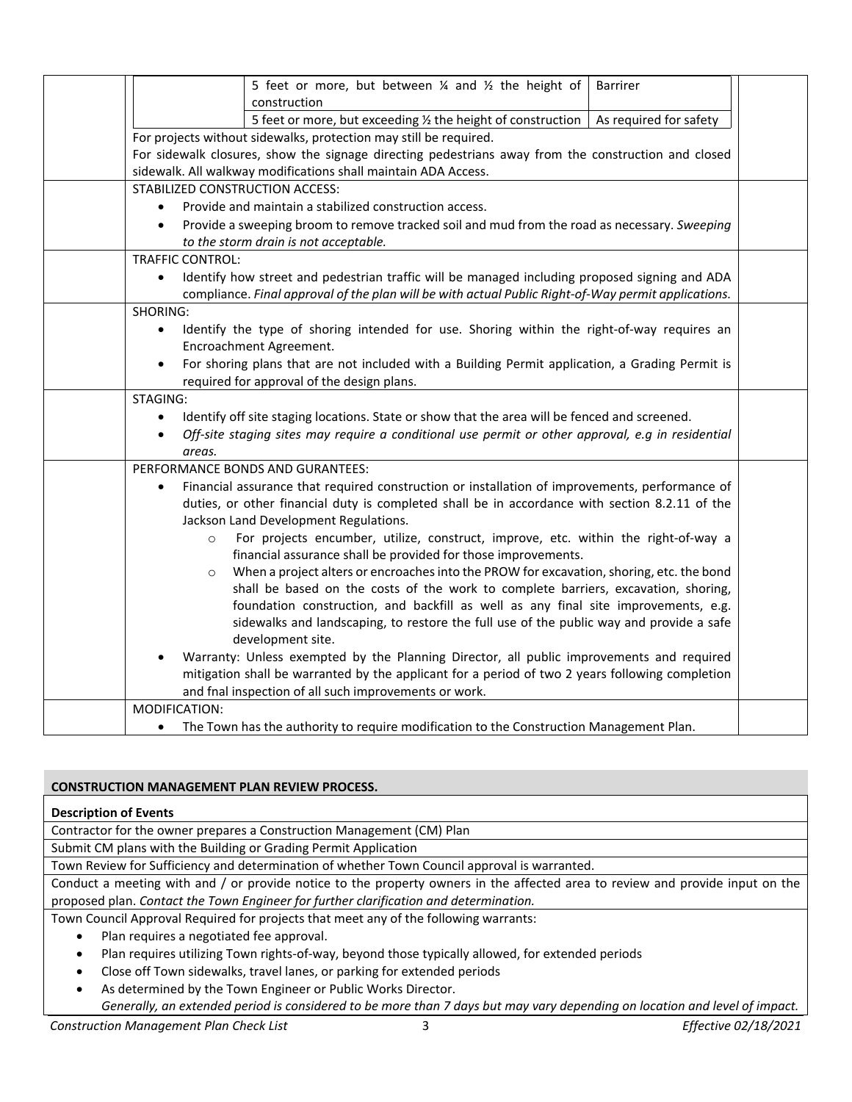| 5 feet or more, but between $\frac{1}{4}$ and $\frac{1}{2}$ the height of<br><b>Barrirer</b>                                                                                                                                 |  |  |  |  |
|------------------------------------------------------------------------------------------------------------------------------------------------------------------------------------------------------------------------------|--|--|--|--|
| construction                                                                                                                                                                                                                 |  |  |  |  |
| 5 feet or more, but exceeding $\frac{1}{2}$ the height of construction  <br>As required for safety                                                                                                                           |  |  |  |  |
| For projects without sidewalks, protection may still be required.                                                                                                                                                            |  |  |  |  |
| For sidewalk closures, show the signage directing pedestrians away from the construction and closed                                                                                                                          |  |  |  |  |
| sidewalk. All walkway modifications shall maintain ADA Access.                                                                                                                                                               |  |  |  |  |
| STABILIZED CONSTRUCTION ACCESS:                                                                                                                                                                                              |  |  |  |  |
| Provide and maintain a stabilized construction access.                                                                                                                                                                       |  |  |  |  |
| Provide a sweeping broom to remove tracked soil and mud from the road as necessary. Sweeping<br>$\bullet$                                                                                                                    |  |  |  |  |
| to the storm drain is not acceptable.                                                                                                                                                                                        |  |  |  |  |
| <b>TRAFFIC CONTROL:</b><br>$\bullet$                                                                                                                                                                                         |  |  |  |  |
| Identify how street and pedestrian traffic will be managed including proposed signing and ADA<br>compliance. Final approval of the plan will be with actual Public Right-of-Way permit applications.                         |  |  |  |  |
| SHORING:                                                                                                                                                                                                                     |  |  |  |  |
| Identify the type of shoring intended for use. Shoring within the right-of-way requires an<br>$\bullet$                                                                                                                      |  |  |  |  |
| Encroachment Agreement.                                                                                                                                                                                                      |  |  |  |  |
| For shoring plans that are not included with a Building Permit application, a Grading Permit is<br>$\bullet$                                                                                                                 |  |  |  |  |
| required for approval of the design plans.                                                                                                                                                                                   |  |  |  |  |
| STAGING:                                                                                                                                                                                                                     |  |  |  |  |
| Identify off site staging locations. State or show that the area will be fenced and screened.<br>$\bullet$<br>Off-site staging sites may require a conditional use permit or other approval, e.g in residential<br>$\bullet$ |  |  |  |  |
| areas.                                                                                                                                                                                                                       |  |  |  |  |
| PERFORMANCE BONDS AND GURANTEES:                                                                                                                                                                                             |  |  |  |  |
| Financial assurance that required construction or installation of improvements, performance of<br>$\bullet$                                                                                                                  |  |  |  |  |
| duties, or other financial duty is completed shall be in accordance with section 8.2.11 of the                                                                                                                               |  |  |  |  |
| Jackson Land Development Regulations.                                                                                                                                                                                        |  |  |  |  |
| For projects encumber, utilize, construct, improve, etc. within the right-of-way a<br>$\circ$                                                                                                                                |  |  |  |  |
| financial assurance shall be provided for those improvements.                                                                                                                                                                |  |  |  |  |
| When a project alters or encroaches into the PROW for excavation, shoring, etc. the bond<br>$\circ$                                                                                                                          |  |  |  |  |
| shall be based on the costs of the work to complete barriers, excavation, shoring,                                                                                                                                           |  |  |  |  |
| foundation construction, and backfill as well as any final site improvements, e.g.                                                                                                                                           |  |  |  |  |
| sidewalks and landscaping, to restore the full use of the public way and provide a safe<br>development site.                                                                                                                 |  |  |  |  |
| Warranty: Unless exempted by the Planning Director, all public improvements and required                                                                                                                                     |  |  |  |  |
| mitigation shall be warranted by the applicant for a period of two 2 years following completion                                                                                                                              |  |  |  |  |
| and fnal inspection of all such improvements or work.                                                                                                                                                                        |  |  |  |  |
| MODIFICATION:                                                                                                                                                                                                                |  |  |  |  |
| The Town has the authority to require modification to the Construction Management Plan.<br>$\bullet$                                                                                                                         |  |  |  |  |

## **CONSTRUCTION MANAGEMENT PLAN REVIEW PROCESS.**

## **Description of Events**

Contractor for the owner prepares a Construction Management (CM) Plan

Submit CM plans with the Building or Grading Permit Application

Town Review for Sufficiency and determination of whether Town Council approval is warranted.

Conduct a meeting with and / or provide notice to the property owners in the affected area to review and provide input on the proposed plan. *Contact the Town Engineer for further clarification and determination.*

Town Council Approval Required for projects that meet any of the following warrants:

- Plan requires a negotiated fee approval.
- Plan requires utilizing Town rights-of-way, beyond those typically allowed, for extended periods
- Close off Town sidewalks, travel lanes, or parking for extended periods
- As determined by the Town Engineer or Public Works Director. *Generally, an extended period is considered to be more than 7 days but may vary depending on location and level of impact.*